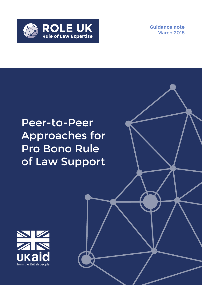

**Guidance note**  March 2018

# Peer-to-Peer Approaches for Pro Bono Rule of Law Support

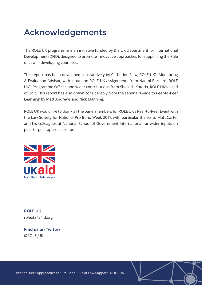## Acknowledgements

The ROLE UK programme is an initiative funded by the UK Department for International Development (DFID), designed to promote innovative approaches for supporting the Rule of Law in developing countries.

This report has been developed substantively by Catherine Flew, ROLE UK's Monitoring & Evaluation Advisor, with inputs on ROLE UK assignments from Naomi Barnard, ROLE UK's Programme Officer, and wider contributions from Shailesh Kataria, ROLE UK's Head of Unit. This report has also drawn considerably from the seminal 'Guide to Peer-to-Peer Learning' by Matt Andrews and Nick Manning.

ROLE UK would like to thank all the panel members for ROLE UK's Peer-to-Peer Event with the Law Society for National Pro Bono Week 2017, with particular thanks to Matt Carter and his colleagues at National School of Government International for wider inputs on peer-to-peer approaches too.



**ROLE UK** roleuk@a4id.org

**Find us on Twitter** @ROLE\_UK

Peer-to-Peer Approaches for Pro Bono Rule of Law Support | ROLE UK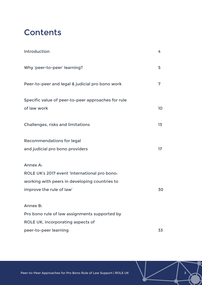## **Contents**

| Introduction                                                                                                                           | 4  |
|----------------------------------------------------------------------------------------------------------------------------------------|----|
| Why 'peer-to-peer' learning?                                                                                                           | 5  |
| Peer-to-peer and legal & judicial pro bono work                                                                                        | 7  |
| Specific value of peer-to-peer approaches for rule<br>of law work                                                                      | 10 |
| <b>Challenges, risks and limitations</b>                                                                                               | 13 |
| <b>Recommendations for legal</b><br>and judicial pro bono providers                                                                    | 17 |
| Annex A:<br>ROLE UK's 2017 event 'International pro bono:<br>working with peers in developing countries to<br>improve the rule of law' | 30 |
| <b>Annex B:</b><br>Pro bono rule of law assignments supported by<br>ROLE UK, incorporating aspects of<br>peer-to-peer learning         | 33 |

Peer-to-Peer Approaches for Pro Bono Rule of Law Support | ROLE UK  $\begin{array}{ccc} \searrow & \searrow & \searrow \end{array}$  3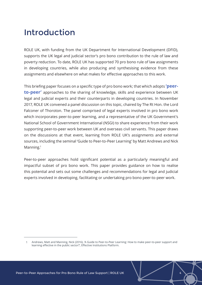## Introduction

ROLE UK, with funding from the UK Department for International Development (DFID), supports the UK legal and judicial sector's pro bono contribution to the rule of law and poverty reduction. To date, ROLE UK has supported 70 pro bono rule of law assignments in developing countries, while also producing and synthesising evidence from these assignments and elsewhere on what makes for effective approaches to this work.

This briefing paper focuses on a specific type of pro bono work; that which adopts **'peerto-peer'** approaches to the sharing of knowledge, skills and experience between UK legal and judicial experts and their counterparts in developing countries. In November 2017, ROLE UK convened a panel discussion on this topic, chaired by The Rt Hon. the Lord Falconer of Thoroton. The panel comprised of legal experts involved in pro bono work which incorporates peer-to-peer learning, and a representative of the UK Government's National School of Government International (NSGI) to share experience from their work supporting peer-to-peer work between UK and overseas civil servants. This paper draws on the discussions at that event, learning from ROLE UK's assignments and external sources, including the seminal 'Guide to Peer-to-Peer Learning' by Matt Andrews and Nick Manning.<sup>1</sup>

Peer-to-peer approaches hold significant potential as a particularly meaningful and impactful subset of pro bono work. This paper provides guidance on how to realise this potential and sets out some challenges and recommendations for legal and judicial experts involved in developing, facilitating or undertaking pro bono peer-to-peer work.

<sup>1</sup> Andrews, Matt and Manning, Nick (2016), 'A Guide to Peer-to-Peer Learning: How to make peer-to-peer support and learning effective in the public sector?', Effective Institutions Platform.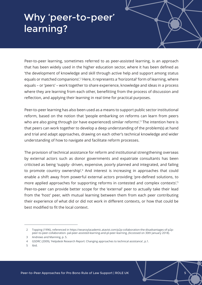# Why 'peer-to-peer' learning?

Peer-to-peer learning, sometimes referred to as peer-assisted learning, is an approach that has been widely used in the higher education sector, where it has been defined as 'the development of knowledge and skill through active help and support among status equals or matched companions'.2 Here, it represents a 'horizontal' form of learning, where equals – or 'peers' – work together to share experience, knowledge and ideas in a process where they are learning from each other, benefitting from the process of discussion and reflection, and applying their learning in real time for practical purposes.

Peer-to-peer learning has also been used as a means to support public sector institutional reform, based on the notion that 'people embarking on reforms can learn from peers who are also going through (or have experienced) similar reforms'.<sup>3</sup> The intention here is that peers can work together to develop a deep understanding of the problem(s) at hand and trial and adapt approaches, drawing on each other's technical knowledge and wider understanding of how to navigate and facilitate reform processes.

The provision of technical assistance for reform and institutional strengthening overseas by external actors such as donor governments and expatriate consultants has been criticised as being 'supply- driven, expensive, poorly planned and integrated, and failing to promote country ownership'.4 And interest is increasing in approaches that could enable a shift away from powerful external actors providing 'pre-defined solutions, to more applied approaches for supporting reforms in contested and complex contexts'.<sup>5</sup> Peer-to-peer can provide better scope for the 'external' peer to actually take their lead from the 'host' peer, with mutual learning between them from each peer contributing their experience of what did or did not work in different contexts, or how that could be best modified to fit the local context.

5 Ibid.

<sup>2</sup> Topping (1996), referenced in [https://wvanzylacademic.atavist.com/p2p-collaboration-the-disadvantages-of-p2p](https://wvanzylacademic.atavist.com/p2p-collaboration-the-disadvantages-of-p2p-peer-to-peer-collaboration-%20pal-peer-assisted-learning-and-pl-peer-learning)[peer-to-peer-collaboration- pal-peer-assisted-learning-and-pl-peer-learning,](https://wvanzylacademic.atavist.com/p2p-collaboration-the-disadvantages-of-p2p-peer-to-peer-collaboration-%20pal-peer-assisted-learning-and-pl-peer-learning) (Accessed on 30th January 2018).

<sup>3</sup> Andrews and Manning, p. 5.

<sup>4</sup> GSDRC (2009), 'Helpdesk Research Report: Changing approaches to technical assistance', p.1.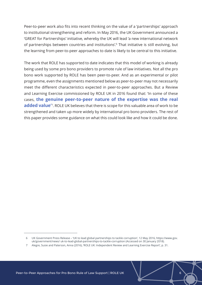Peer-to-peer work also fits into recent thinking on the value of a 'partnerships' approach to institutional strengthening and reform. In May 2016, the UK Government announced a 'GREAT for Partnerships' initiative, whereby the UK will lead 'a new international network of partnerships between countries and institutions'.<sup>6</sup> That initiative is still evolving, but the learning from peer-to-peer approaches to date is likely to be central to this initiative.

The work that ROLE has supported to date indicates that this model of working is already being used by some pro bono providers to promote rule of law initiatives. Not all the pro bono work supported by ROLE has been peer-to-peer. And as an experimental or pilot programme, even the assignments mentioned below as peer-to-peer may not necessarily meet the different characteristics expected in peer-to-peer approaches. But a Review and Learning Exercise commissioned by ROLE UK in 2016 found that: 'In some of these cases, **the genuine peer-to-peer nature of the expertise was the real**  added value<sup>'7</sup>. ROLE UK believes that there is scope for this valuable area of work to be strengthened and taken up more widely by international pro bono providers. The rest of this paper provides some guidance on what this could look like and how it could be done.

<sup>6</sup> UK Government Press Release – 'UK to lead global partnerships to tackle corruption', 12 May 2016, [https://www.gov.](https://www.gov.uk/government/news) [uk/government/news/](https://www.gov.uk/government/news) uk-to-lead-global-partnerships-to-tackle-corruption (Accessed on 30 January 2018).

<sup>7</sup> Alegre, Susie and Paterson, Anna (2016), 'ROLE UK: Independent Review and Learning Exercise Report', p. 31.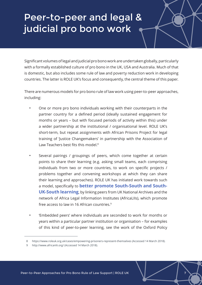# Peer-to-peer and legal & judicial pro bono work

Significant volumes of legal and judicial pro bono work are undertaken globally, particularly with a formally established culture of pro bono in the UK, USA and Australia. Much of that is domestic, but also includes some rule of law and poverty reduction work in developing countries. The latter is ROLE UK's focus and consequently, the central theme of this paper.

There are numerous models for pro bono rule of law work using peer-to-peer approaches, including:

- One or more pro bono individuals working with their counterparts in the partner country for a defined period (ideally sustained engagement for months or years – but with focused periods of activity within this) under a wider partnership at the institutional / organisational level. ROLE UK's short-term, but repeat assignments with African Prisons Project for legal training of 'Justice Changemakers' in partnership with the Association of Law Teachers best fits this model.<sup>8</sup>
- Several pairings / groupings of peers, which come together at certain points to share their learning (e.g. asking small teams, each comprising individuals from two or more countries, to work on specific projects / problems together and convening workshops at which they can share their learning and approaches). ROLE UK has initiated work towards such a model, specifically to **better promote South-South and South-UK-South learning**, by linking peers from UK National Archives and the network of Africa Legal Information Institutes (AfricaLIIs), which promote free access to law in 16 African countries.9
- 'Embedded peers' where individuals are seconded to work for months or years within a particular partner institution or organisation – for examples of this kind of peer-to-peer learning, see the work of the Oxford Policy

<sup>8</sup> <https://www.roleuk.org.uk/cases/empowering-prisoners-represent-themselves> (Accessed 14 March 2018).

<http://www.africanlii.org/> (Accessed 14 March 2018).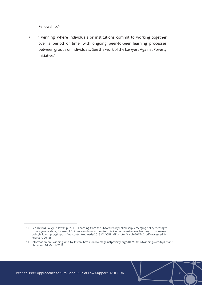Fellowship.<sup>10</sup>

• 'Twinning' where individuals or institutions commit to working together over a period of time, with ongoing peer-to-peer learning processes between groups or individuals. See the work of the Lawyers Against Poverty Initiative.<sup>11</sup>

<sup>10</sup> See Oxford Policy Fellowship (2017), 'Learning from the Oxford Policy Fellowship: emerging policy messages from a year of data', for useful Guidance on how to monitor this kind of peer-to-peer learning. [https://www.](https://www.policyfellowship.org/wpcms/wp-content/uploads/2015/01/%20OPF_MEL-note_March-2017-v2.pdf) [policyfellowship.org/wpcms/wp-content/uploads/2015/01/ OPF\\_MEL-note\\_March-2017-v2.pdf](https://www.policyfellowship.org/wpcms/wp-content/uploads/2015/01/%20OPF_MEL-note_March-2017-v2.pdf) (Accessed 14 February 2018).

<sup>11</sup> Information on Twinning with Tajikistan.<https://lawyersagainstpoverty.org/2017/03/07/twinning-with-tajikistan/> (Accessed 14 March 2018).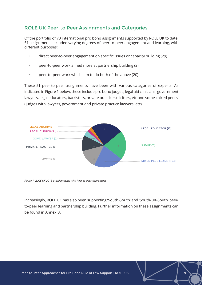### ROLE UK Peer-to Peer Assignments and Categories

Of the portfolio of 70 international pro bono assignments supported by ROLE UK to date, 51 assignments included varying degrees of peer-to-peer engagement and learning, with different purposes:

- direct peer-to-peer engagement on specific issues or capacity building (29)
- peer-to-peer work aimed more at partnership building (2)
- peer-to-peer work which aim to do both of the above (20)

These 51 peer-to-peer assignments have been with various categories of experts. As indicated in Figure 1 below, these include pro bono judges, legal aid clinicians, government lawyers, legal educators, barristers, private practice solicitors, etc and some 'mixed peers' (judges with lawyers, government and private practice lawyers, etc).



*Figure 1. ROLE UK 2015-8 Assignments With Peer-to-Peer Approaches*

Increasingly, ROLE UK has also been supporting 'South-South' and 'South-UK-South' peerto-peer learning and partnership building. Further information on these assignments can be found in Annex B.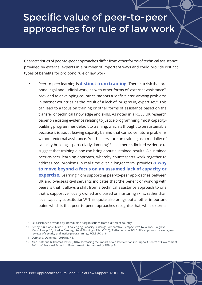## Specific value of peer-to-peer approaches for rule of law work

Characteristics of peer-to-peer approaches differ from other forms of technical assistance provided by external experts in a number of important ways and could provide distinct types of benefits for pro bono rule of law work.

• Peer-to-peer learning is **distinct from training.** There is a risk that pro bono legal and judicial work, as with other forms of 'external' assistance<sup>12</sup> provided to developing countries, 'adopts a "deficit lens" viewing problems in partner countries as the result of a lack of, or gaps in, expertise'.<sup>13</sup> This can lead to a focus on training or other forms of assistance based on the transfer of technical knowledge and skills. As noted in a ROLE UK research paper on existing evidence relating to justice programming, 'most capacitybuilding programmes default to training, which is thought to be sustainable because it is about leaving capacity behind that can solve future problems without external assistance. Yet the literature on training as a modality of capacity-building is particularly damning'<sup>14</sup> – i.e. there is limited evidence to suggest that training alone can bring about sustained results. A sustained peer-to-peer learning approach, whereby counterparts work together to address real problems in real time over a longer term, provides **a way to move beyond a focus on an assumed lack of capacity or expertise.** Learning from supporting peer-to-peer approaches between UK and overseas civil servants indicates that 'the benefit of working with peers is that it allows a shift from a technical assistance approach to one that is supportive, locally owned and based on nurturing skills, rather than local capacity substitution'.<sup>15</sup> This quote also brings out another important point, which is that peer-to-peer approaches recognise that, while external

<sup>12</sup> i.e. assistance provided by individuals or organisations from a different country.

<sup>13</sup> Kenny, S & Clarke, M (2010), 'Challenging Capacity Building: Comparative Perspectives', New York, Palgrave Macmillan, p. 15; cited in Denney, Lisa & Domingo, Pilar (2016), 'Reflections on ROLE UK's approach: Learning from reviews of security and justice programming', ROLE UK, p. 6.

<sup>14</sup> Denney & Domingo, (2016),p. 7-8.

<sup>15</sup> Alari, Caterina & Thomas, Peter (2016), Increasing the Impact of Aid Interventions to Support Centre of Government Reforms', National School of Government International (NSGI), p. 8.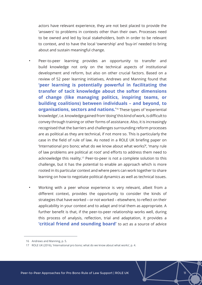actors have relevant experience, they are not best placed to provide the 'answers' to problems in contexts other than their own. Processes need to be owned and led by local stakeholders, both in order to be relevant to context, and to have the local 'ownership' and 'buy-in' needed to bring about and sustain meaningful change.

- Peer-to-peer learning provides an opportunity to transfer and build knowledge not only on the technical aspects of institutional development and reform, but also on other crucial factors. Based on a review of 52 peer learning initiatives, Andrews and Manning found that **'peer learning is potentially powerful in facilitating the transfer of tacit knowledge about the softer dimensions of change (like managing politics, inspiring teams, or building coalitions) between individuals – and beyond, to organisations, sectors and nations.'**<sup>16</sup> These types of 'experiential knowledge', i.e. knowledge gained from 'doing' this kind of work, is difficult to convey through training or other forms of assistance. Also, it is increasingly recognised that the barriers and challenges surrounding reform processes are as political as they are technical, if not more so. This is particularly the case in the field of rule of law. As noted in a ROLE UK briefing paper on 'International pro bono; what do we know about what works?', 'many rule of law problems are political at root' and efforts to address them need to acknowledge this reality.<sup>17</sup> Peer-to-peer is not a complete solution to this challenge, but it has the potential to enable an approach which is more rooted in its particular context and where peers can work together to share learning on how to negotiate political dynamics as well as technical issues.
- Working with a peer whose experience is very relevant, albeit from a different context, provides the opportunity to consider the kinds of strategies that have worked – or not worked – elsewhere, to reflect on their applicability in your context and to adapt and trial them as appropriate. A further benefit is that, if the peer-to-peer relationship works well, during this process of analysis, reflection, trial and adaptation, it provides a **'critical friend and sounding board'** to act as a source of advice

<sup>16</sup> Andrews and Manning, p. 5.

<sup>17</sup> ROLE UK (2016), 'International pro bono; what do we know about what works', p. 4.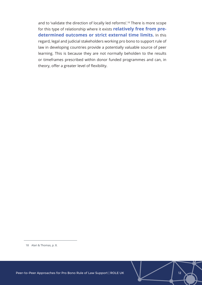and to 'validate the direction of locally led reforms'.<sup>18</sup> There is more scope for this type of relationship where it exists **relatively free from predetermined outcomes or strict external time limits.** In this regard, legal and judicial stakeholders working pro bono to support rule of law in developing countries provide a potentially valuable source of peer learning. This is because they are not normally beholden to the results or timeframes prescribed within donor funded programmes and can, in theory, offer a greater level of flexibility.

<sup>18</sup> Alari & Thomas, p. 8.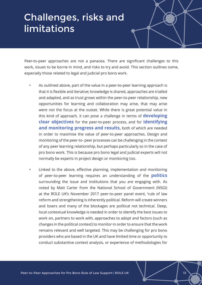## Challenges, risks and limitations

Peer-to-peer approaches are not a panacea. There are significant challenges to this work, issues to be borne in mind, and risks to try and avoid. This section outlines some, especially those related to legal and judicial pro bono work.

- As outlined above, part of the value in a peer-to-peer learning approach is that it is flexible and iterative; knowledge is shared, approaches are trialled and adapted, and as trust grows within the peer-to-peer relationship, new opportunities for learning and collaboration may arise, that may arise were not the focus at the outset. While there is great potential value in this kind of approach, it can pose a challenge in terms of **developing clear objectives** for the peer-to-peer process, and for **identifying and monitoring progress and results,** both of which are needed in order to maximise the value of peer-to-peer approaches. Design and monitoring of the peer-to- peer processes can be challenging in the context of any peer learning relationship, but perhaps particularly so in the case of pro bono work. This is because pro bono legal and judicial experts will not normally be experts in project design or monitoring too.
- Linked to the above, effective planning, implementation and monitoring of peer-to-peer learning requires an understanding of the **politics** surrounding the issue and institutions that you are engaging with. As noted by Matt Carter from the National School of Government (NSGI) at the ROLE UK's November 2017 peer-to-peer panel event, 'rule of law reform and strengthening is inherently political. Reform will create winners and losers and many of the blockages are political not technical. Deep, local contextual knowledge is needed in order to identify the best issues to work on, partners to work with, approaches to adopt and factors (such as changes in the political context) to monitor in order to ensure that the work remains relevant and well targeted. This may be challenging for pro bono providers who are based in the UK and have limited time or opportunity to conduct substantive context analysis, or experience of methodologies for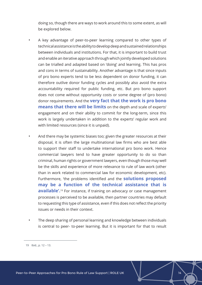doing so, though there are ways to work around this to some extent, as will be explored below.

- A key advantage of peer-to-peer learning compared to other types of technical assistance is the ability to develop deep and sustained relationships between individuals and institutions. For that, it is important to build trust and enable an iterative approach through which jointly developed solutions can be trialled and adapted based on 'doing' and learning. This has pros and cons in terms of sustainability. Another advantage is that since inputs of pro bono experts tend to be less dependent on donor funding, it can therefore outlive donor funding cycles and possibly also avoid the extra accountability required for public funding, etc. But pro bono support does not come without opportunity costs or some degree of (pro bono) donor requirements. And the **very fact that the work is pro bono means that there will be limits** on the depth and scale of experts' engagement and on their ability to commit for the long-term, since this work is largely undertaken in addition to the experts' regular work and with limited resources (since it is unpaid).
	- And there may be systemic biases too; given the greater resources at their disposal, it is often the large multinational law firms who are best able to support their staff to undertake international pro bono work. Hence commercial lawyers tend to have greater opportunity to do so than criminal, human rights or government lawyers, even though those may well be the skills and experience of more relevance to rule of law work (other than in work related to commercial law for economic development, etc). Furthermore, 'the problems identified and the **solutions proposed may be a function of the technical assistance that is available'.**<sup>19</sup> For instance, if training on advocacy or case management processes is perceived to be available, then partner countries may default to requesting this type of assistance, even if this does not reflect the priority issues or needs in their context.
- The deep sharing of personal learning and knowledge between individuals is central to peer- to-peer learning. But it is important for that to result

<sup>19</sup> Ibid., p. 12 – 13.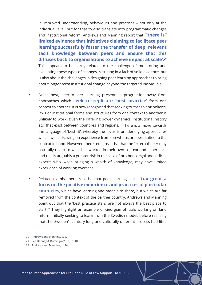in improved understanding, behaviours and practices – not only at the individual level, but for that to also translate into programmatic changes and institutional reform. Andrews and Manning report that **"'there is" limited evidence that initiatives claiming to facilitate peer learning successfully foster the transfer of deep, relevant tacit knowledge between peers and ensure that this diffuses back to organisations to achieve impact at scale'.**<sup>20</sup> This appears to be partly related to the challenge of monitoring and evaluating these types of changes, resulting in a lack of solid evidence, but is also about the challenges in designing peer learning approaches to bring about longer term institutional change beyond the targeted individuals.

- At its best, peer-to-peer learning presents a progression away from approaches which **seek to replicate 'best practice'** from one context to another. It is now recognised that seeking to 'transplant' policies, laws or institutional forms and structures from one context to another is unlikely to work, given the differing power dynamics, institutional history etc. that exist between countries and regions.<sup>21</sup> There is a move towards the language of 'best fit', whereby the focus is on identifying approaches which, while drawing on experience from elsewhere, are best suited to the context in hand. However, there remains a risk that the 'external' peer may naturally revert to what has worked in their own context and experience and this is arguably a greater risk in the case of pro bono legal and judicial experts who, while bringing a wealth of knowledge, may have limited experience of working overseas.
- Related to this, there is a risk that peer learning places **too great a focus on the positive experience and practices of particular countries**, which have learning and models to share, but which are far removed from the context of the partner country. Andrews and Manning point out that the 'best practice stars' are not always the best place to start.<sup>22</sup> They highlight an example of Georgian officials working on land reform initially seeking to learn from the Swedish model, before realising that the 'Sweden's century long and culturally different process had little

<sup>20</sup> Andrews and Manning, p. 5.

<sup>21</sup> See Denney & Domingo (2016), p. 10.

<sup>22</sup> Andrews and Manning, p. 14.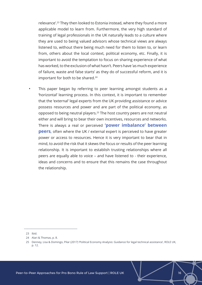relevance'.<sup>23</sup> They then looked to Estonia instead, where they found a more applicable model to learn from. Furthermore, the very high standard of training of legal professionals in the UK naturally leads to a culture where they are used to being valued advisors whose technical views are always listened to, without there being much need for them to listen to, or learn from, others about the local context, political economy, etc. Finally, it is important to avoid the temptation to focus on sharing experience of what has worked, to the exclusion of what hasn't. Peers have 'as much experience of failure, waste and false starts' as they do of successful reform, and it is important for both to be shared.<sup>24</sup>

This paper began by referring to peer learning amongst students as a 'horizontal' learning process. In this context, it is important to remember that the 'external' legal experts from the UK providing assistance or advice possess resources and power and are part of the political economy, as opposed to being neutral players.<sup>25</sup> The host country peers are not neutral either and will bring to bear their own incentives, resources and networks. There is always a real or perceived **'power imbalance' between peers**, often where the UK / external expert is perceived to have greater power or access to resources. Hence it is very important to bear that in mind, to avoid the risk that it skews the focus or results of the peer learning relationship. It is important to establish trusting relationships where all peers are equally able to voice – and have listened to - their experience, ideas and concerns and to ensure that this remains the case throughout the relationship.

23 Ibid.

<sup>24</sup> Alari & Thomas, p. 8.

<sup>25</sup> Denney, Lisa & Domingo, Pilar (2017) 'Political Economy Analysis: Guidance for legal technical assistance', ROLE UK, p. 12.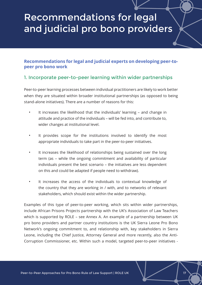## Recommendations for legal and judicial pro bono providers

#### **Recommendations for legal and judicial experts on developing peer-topeer pro bono work**

#### 1. Incorporate peer-to-peer learning within wider partnerships

Peer-to-peer learning processes between individual practitioners are likely to work better when they are situated within broader institutional partnerships (as opposed to being stand-alone initiatives). There are a number of reasons for this:

- It increases the likelihood that the individuals' learning and change in attitude and practice of the individuals – will be fed into, and contribute to, wider changes at institutional level.
- It provides scope for the institutions involved to identify the most appropriate individuals to take part in the peer-to-peer initiatives.
- It increases the likelihood of relationships being sustained over the long term (as – while the ongoing commitment and availability of particular individuals present the best scenario – the initiatives are less dependent on this and could be adapted if people need to withdraw).
- It increases the access of the individuals to contextual knowledge of the country that they are working in / with, and to networks of relevant stakeholders, which should exist within the wider partnership.

Examples of this type of peer-to-peer working, which sits within wider partnerships, include African Prisons Projects partnership with the UK's Association of Law Teachers which is supported by ROLE – see Annex A. An example of a partnership between UK pro bono providers and partner country institutions is the UK Sierra Leone Pro Bono Network's ongoing commitment to, and relationship with, key stakeholders in Sierra Leone, including the Chief Justice, Attorney General and more recently, also the Anti-Corruption Commissioner, etc. Within such a model, targeted peer-to-peer initiatives -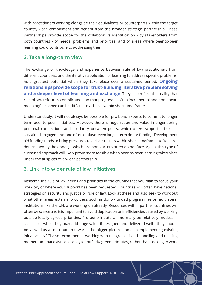with practitioners working alongside their equivalents or counterparts within the target country - can complement and benefit from the broader strategic partnership. These partnerships provide scope for the collaborative identification - by stakeholders from both countries - of needs, problems and priorities, and of areas where peer-to-peer learning could contribute to addressing them.

#### 2. Take a long-term view

The exchange of knowledge and experience between rule of law practitioners from different countries, and the iterative application of learning to address specific problems, hold greatest potential when they take place over a sustained period. **Ongoing relationships provide scope for trust-building, iterative problem solving and a deeper level of learning and exchange**. They also reflect the reality that rule of law reform is complicated and that progress is often incremental and non-linear; meaningful change can be difficult to achieve within short time frames.

Understandably, it will not always be possible for pro bono experts to commit to longer term peer-to-peer initiatives. However, there is huge scope and value in engendering personal connections and solidarity between peers, which offers scope for flexible, sustained engagements and often outlasts even longer term donor funding. Development aid funding tends to bring pressures to deliver results within short timeframes (often predetermined by the donor) – which pro bono actors often do not face. Again, this type of sustained approach will likely prove more feasible when peer-to-peer learning takes place under the auspices of a wider partnership.

#### 3. Link into wider rule of law initiatives

Research the rule of law needs and priorities in the country that you plan to focus your work on, or where your support has been requested. Countries will often have national strategies on security and justice or rule of law. Look at these and also seek to work out what other areas external providers, such as donor-funded programmes or multilateral institutions like the UN, are working on already. Resources within partner countries will often be scarce and it is important to avoid duplication or inefficiencies caused by working outside locally agreed priorities. Pro bono inputs will normally be relatively modest in scale, so – while they may add huge value if designed and delivered well - they should be viewed as a contribution towards the bigger picture and as complementing existing initiatives. NSGI also recommends 'working with the grain' – i.e. channelling and utilising momentum that exists on locally identified/agreed priorities, rather than seeking to work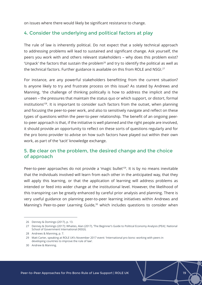on issues where there would likely be significant resistance to change.

#### 4. Consider the underlying and political factors at play

The rule of law is inherently political. Do not expect that a solely technical approach to addressing problems will lead to sustained and significant change. Ask yourself, the peers you work with and others relevant stakeholders – why does this problem exist? 'Unpack' the factors that sustain the problem<sup>26</sup> and try to identify the political as well as the technical factors. Further guidance is available on this from ROLE and NSGI.<sup>27</sup>

For instance, are any powerful stakeholders benefitting from the current situation? Is anyone likely to try and frustrate process on this issue? As stated by Andrews and Manning, 'the challenge of thinking politically is how to address the implicit and the unseen – the pressures that maintain the status quo or which support, or distort, formal institutions'<sup>28</sup>. It is important to consider such factors from the outset, when planning and focusing the peer-to-peer work, and also to sensitively navigate and reflect on these types of questions within the peer-to-peer relationship. The benefit of an ongoing peerto-peer approach is that, if the initiative is well planned and the right people are involved, it should provide an opportunity to reflect on these sorts of questions regularly and for the pro bono provider to advise on how such factors have played out within their own work, as part of the 'tacit' knowledge exchange.

#### 5. Be clear on the problem, the desired change and the choice of approach

Peer-to-peer approaches do not provide a 'magic bullet'<sup>29</sup>. It is by no means inevitable that the individuals involved will learn from each other in the anticipated way, that they will apply this learning, or that the application of learning will address problems as intended or feed into wider change at the institutional level. However, the likelihood of this transpiring can be greatly enhanced by careful prior analysis and planning. There is very useful guidance on planning peer-to-peer learning initiatives within Andrews and Manning's Peer-to-peer Learning Guide,<sup>30</sup> which includes questions to consider when

<sup>26</sup> Denney & Domingo (2017), p. 13.

<sup>27</sup> Denney & Domingo (2017); Whaites, Alan (2017), 'The Beginner's Guide to Political Economy Analysis (PEA)', National School of Government International (NSGI).

<sup>28</sup> Andrews & Manning, p. 7.

<sup>29</sup> Matt Carter, speaking at ROLE UK's November 2017 event: 'International pro bono: working with peers in developing countries to improve the rule of law'.

<sup>30</sup> Andrew & Manning.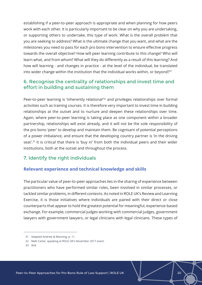establishing if a peer-to-peer approach is appropriate and when planning for how peers work with each other. It is particularly important to be clear on why you are undertaking, or supporting others to undertake, this type of work. What is the overall problem that you are seeking to address? What is the ultimate change that you want, and what are the milestones you need to pass for each pro bono intervention to ensure effective progress towards the overall objective? How will peer learning contribute to this change? Who will learn what, and from whom? What will they do differently as a result of this learning? And how will learning - and changes in practice - at the level of the individual, be translated into wider change within the institution that the individual works within, or beyond?<sup>31</sup>

#### 6. Recognise the centrality of relationships and invest time and effort in building and sustaining them

Peer-to-peer learning is 'inherently relational'<sup>32</sup> and privileges relationships over formal activities such as training courses. It is therefore very important to invest time in building relationships at the outset and to nurture and deepen these relationships over time. Again, where peer-to-peer learning is taking place as one component within a broader partnership, relationships will exist already, and it will not be the sole responsibility of the pro bono 'peer' to develop and maintain them. Be cognisant of potential perceptions of a power imbalance, and ensure that the developing country partner is 'in the driving seat'.<sup>33</sup> It is critical that there is 'buy in' from both the individual peers and their wider institutions, both at the outset and throughout the process.

### 7. Identify the right individuals

#### **Relevant experience and technical knowledge and skills**

The particular value of peer-to-peer approaches lies in the sharing of experience between practitioners who have performed similar roles, been involved in similar processes, or tackled similar problems, in different contexts. As noted in ROLE UK's Review and Learning Exercise, it is those initiatives where individuals are paired with their direct or close counterparts that appear to hold the greatest potential for meaningful, experience-based exchange. For example, commercial judges working with commercial judges, government lawyers with government lawyers, or legal clinicians with legal clinicians. These types of

33 Ibid.

<sup>31</sup> Adapted Andrew & Manning, p. 11.

<sup>32</sup> Matt Carter, speaking at ROLE UK's November 2017 event.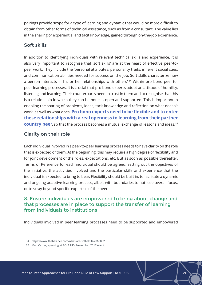pairings provide scope for a type of learning and dynamic that would be more difficult to obtain from other forms of technical assistance, such as from a consultant. The value lies in the sharing of experiential and tacit knowledge, gained through on-the-job experience.

#### Soft skills

In addition to identifying individuals with relevant technical skills and experience, it is also very important to recognise that 'soft skills' are at the heart of effective peer-topeer work. They include the 'personal attributes, personality traits, inherent social cues, and communication abilities needed for success on the job. Soft skills characterize how a person interacts in his or her relationships with others'.<sup>34</sup> Within pro bono peer-topeer learning processes, it is crucial that pro bono experts adopt an attitude of humility, listening and learning. Their counterparts need to trust in them and to recognise that this is a relationship in which they can be honest, open and supported. This is important in enabling the sharing of problems, ideas, tacit knowledge and reflection on what doesn't work, as well as what does. **Pro bono experts need to be flexible and to enter these relationships with a real openness to learning from their partner country peer**, so that the process becomes a mutual exchange of lessons and ideas.<sup>35</sup>

## Clarity on their role

Each individual involved in a peer-to-peer learning process needs to have clarity on the role that is expected of them. At the beginning, this may require a high degree of flexibility and for joint development of the roles, expectations, etc. But as soon as possible thereafter, Terms of Reference for each individual should be agreed, setting out the objectives of the initiative, the activities involved and the particular skills and experience that the individual is expected to bring to bear. Flexibility should be built in, to facilitate a dynamic and ongoing adaptive learning process, albeit with boundaries to not lose overall focus, or to stray beyond specific expertise of the peers.

### 8. Ensure individuals are empowered to bring about change and that processes are in place to support the transfer of learning from individuals to institutions

Individuals involved in peer learning processes need to be supported and empowered

<sup>34</sup> <https://www.thebalance.com/what-are-soft-skills-2060852>.

<sup>35</sup> Matt Carter, speaking at ROLE UK's November 2017 event.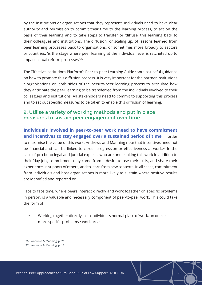by the institutions or organisations that they represent. Individuals need to have clear authority and permission to commit their time to the learning process, to act on the basis of their learning and to take steps to transfer or 'diffuse' this learning back to their colleagues and institutions. The diffusion, or scaling up, of lessons learned from peer learning processes back to organisations, or sometimes more broadly to sectors or countries, 'is the stage where peer learning at the individual level is ratcheted up to impact actual reform processes'.<sup>36</sup>

The Effective Institutions Platform's Peer-to-peer Learning Guide contains useful guidance on how to promote this diffusion process. It is very important for the partner institutions / organisations on both sides of the peer-to-peer learning process to articulate how they anticipate the peer learning to be transferred from the individuals involved to their colleagues and institutions. All stakeholders need to commit to supporting this process and to set out specific measures to be taken to enable this diffusion of learning.

#### 9. Utilise a variety of working methods and put in place measures to sustain peer engagement over time

## **Individuals involved in peer-to-peer work need to have commitment and incentives to stay engaged over a sustained period of time**, in order to maximise the value of this work. Andrews and Manning note that incentives need not be financial and can be linked to career progression or effectiveness at work.<sup>37</sup> In the case of pro bono legal and judicial experts, who are undertaking this work in addition to their 'day job', commitment may come from a desire to use their skills, and share their experience, in support of others, and to learn from new contexts. In all cases, commitment from individuals and host organisations is more likely to sustain where positive results are identified and reported on.

Face to face time, where peers interact directly and work together on specific problems in person, is a valuable and necessary component of peer-to-peer work. This could take the form of:

• Working together directly in an individual's normal place of work, on one or more specific problems / work areas

<sup>36</sup> Andrews & Manning, p. 21.

<sup>37</sup> Andrews & Manning, p. 17.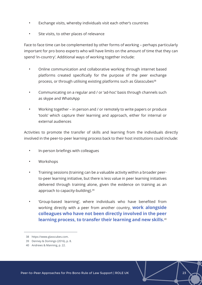- Exchange visits, whereby individuals visit each other's countries
- Site visits, to other places of relevance

Face to face time can be complemented by other forms of working – perhaps particularly important for pro bono experts who will have limits on the amount of time that they can spend 'in-country'. Additional ways of working together include:

- Online communication and collaborative working through internet based platforms created specifically for the purpose of the peer exchange process, or through utilising existing platforms such as Glasscubes<sup>38</sup>
- Communicating on a regular and / or 'ad-hoc' basis through channels such as skype and WhatsApp
- Working together in person and / or remotely to write papers or produce 'tools' which capture their learning and approach, either for internal or external audiences

Activities to promote the transfer of skills and learning from the individuals directly involved in the peer-to-peer learning process back to their host institutions could include:

- In-person briefings with colleagues
- Workshops
- Training sessions (training can be a valuable activity within a broader peerto-peer learning initiative, but there is less value in peer learning initiatives delivered through training alone, given the evidence on training as an approach to capacity-building).<sup>39</sup>
- 'Group-based learning', where individuals who have benefited from working directly with a peer from another country, **work alongside colleagues who have not been directly involved in the peer learning process, to transfer their learning and new skills.**<sup>40</sup>

<sup>38</sup> [https://www.glasscubes.com](https://www.glasscubes.com/).

<sup>39</sup> Denney & Domingo (2016), p. 8.

<sup>40</sup> Andrews & Manning, p. 22.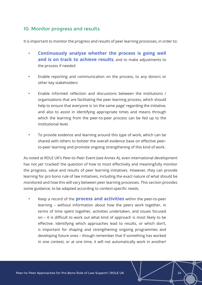#### 10. Monitor progress and results

It is important to monitor the progress and results of peer learning processes, in order to:

- **Continuously analyse whether the process is going well and is on track to achieve results**, and to make adjustments to the process if needed
- Enable reporting and communication on the process, to any donors or other key stakeholders
- Enable informed reflection and discussions between the institutions / organisations that are facilitating the peer learning process, which should help to ensure that everyone is 'on the same page' regarding the initiative, and also to assist in identifying appropriate times and means through which the learning from the peer-to-peer process can be fed up to the institutional level.
- To provide evidence and learning around this type of work, which can be shared with others to bolster the overall evidence base on effective peerto-peer learning and promote ongoing strengthening of this kind of work.

As noted at ROLE UK's Peer-to-Peer Event (see Annex A), even international development has not yet 'cracked' the question of how to most effectively and meaningfully monitor the progress, value and results of peer learning initiatives. However, they can provide learning for pro bono rule of law initiatives, including the exact nature of what should be monitored and how this will vary between peer learning processes. This section provides some guidance, to be adapted according to context-specific needs.

• Keep a record of the **process and activities** within the peer-to-peer learning – without information about how the peers work together, in terms of time spent together, activities undertaken, and issues focused on – it is difficult to work out what kind of approach is most likely to be effective. Identifying which approaches lead to results, or which don't, is important for shaping and strengthening ongoing programmes and developing future ones – though remember that if something has worked in one context, or at one time, it will not automatically work in another!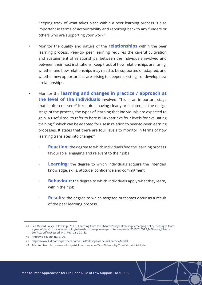Keeping track of what takes place within a peer learning process is also important in terms of accountability and reporting back to any funders or others who are supporting your work.<sup>41</sup>

- Monitor the quality and nature of the **relationships** within the peer learning process. Peer-to- peer learning requires the careful cultivation and sustainment of relationships, between the individuals involved and between their host institutions. Keep track of how relationships are faring, whether and how relationships may need to be supported or adapted, and whether new opportunities are arising to deepen existing – or develop new - relationships.
- Monitor the **learning and changes in practice / approach at the level of the individuals** involved. This is an important stage that is often missed.<sup>42</sup> It requires having clearly articulated, at the design stage of the process, the types of learning that individuals are expected to gain. A useful tool to refer to here is Kirkpatrick's four levels for evaluating training,<sup>43</sup> which can be adapted for use in relation to peer-to-peer learning processes. It states that there are four levels to monitor in terms of how learning translates into change:<sup>44</sup>
	- **Reaction:** the degree to which individuals find the learning process favourable, engaging and relevant to their jobs
	- **Learning:** the degree to which individuals acquire the intended knowledge, skills, attitude, confidence and commitment
	- **Behaviour:** the degree to which individuals apply what they learn, within their job
	- **Results:** the degree to which targeted outcomes occur as a result of the peer learning process.

<sup>41</sup> See Oxford Policy Fellowship (2017), 'Learning from the Oxford Policy Fellowship: emerging policy messages from a year of data', [https:// www.policyfellowship.org/wpcms/wp-content/uploads/2015/01/OPF\\_MEL-note\\_March-](https://%20www.policyfellowship.org/wpcms/wp-content/uploads/2015/01/OPF_MEL-note_March-2017-v2.pdf%20)[2017-v2.pdf \(](https://%20www.policyfellowship.org/wpcms/wp-content/uploads/2015/01/OPF_MEL-note_March-2017-v2.pdf%20)Accessed 14th February 2018).

<sup>42</sup> Andrews & Manning, p. 20.

<sup>43</sup> <https://www.kirkpatrickpartners.com/Our-Philosophy/The-Kirkpatrick-Model>.

<sup>44</sup> Adapted from<https://www.kirkpatrickpartners.com/Our-Philosophy/The-Kirkpatrick-Model>.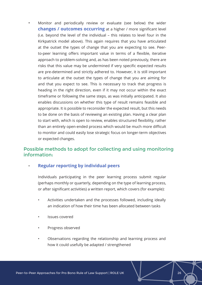• Monitor and periodically review or evaluate (see below) the wider **changes / outcomes occurring** at a higher / more significant level (i.e. beyond the level of the individual – this relates to level four in the Kirkpatrick model above). This again requires that you have articulated at the outset the types of change that you are expecting to see. Peerto-peer learning offers important value in terms of a flexible, iterative approach to problem-solving and, as has been noted previously, there are risks that this value may be undermined if very specific expected results are pre-determined and strictly adhered to. However, it is still important to articulate at the outset the types of change that you are aiming for and that you expect to see. This is necessary to track that progress is heading in the right direction, even if it may not occur within the exact timeframe or following the same steps, as was initially anticipated. It also enables discussions on whether this type of result remains feasible and appropriate. It is possible to reconsider the expected result, but this needs to be done on the basis of reviewing an existing plan. Having a clear plan to start with, which is open to review, enables structured flexibility, rather than an entirely open-ended process which would be much more difficult to monitor and could easily lose strategic focus on longer-term objectives or expected changes.

#### Possible methods to adopt for collecting and using monitoring information:

#### • **Regular reporting by individual peers**

Individuals participating in the peer learning process submit regular (perhaps monthly or quarterly, depending on the type of learning process, or after significant activities) a written report, which covers (for example):

- Activities undertaken and the processes followed, including ideally an indication of how their time has been allocated between tasks
- Issues covered
- Progress observed
- Observations regarding the relationship and learning process and how it could usefully be adapted / strengthened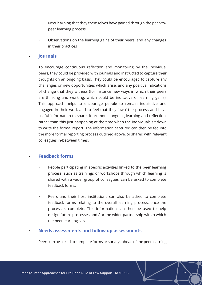- New learning that they themselves have gained through the peer-topeer learning process
- Observations on the learning gains of their peers, and any changes in their practices

#### • **Journals**

To encourage continuous reflection and monitoring by the individual peers, they could be provided with journals and instructed to capture their thoughts on an ongoing basis. They could be encouraged to capture any challenges or new opportunities which arise, and any positive indications of change that they witness (for instance new ways in which their peers are thinking and working, which could be indicative of learning gains). This approach helps to encourage people to remain inquisitive and engaged in their work and to feel that they 'own' the process and have useful information to share. It promotes ongoing learning and reflection, rather than this just happening at the time when the individuals sit down to write the formal report. The information captured can then be fed into the more formal reporting process outlined above, or shared with relevant colleagues in-between times.

#### • **Feedback forms**

- People participating in specific activities linked to the peer learning process, such as trainings or workshops through which learning is shared with a wider group of colleagues, can be asked to complete feedback forms.
- Peers and their host institutions can also be asked to complete feedback forms relating to the overall learning process, once the process is complete. This information can then be used to help design future processes and / or the wider partnership within which the peer learning sits.

#### • **Needs assessments and follow up assessments**

Peers can be asked to complete forms or surveys ahead of the peer learning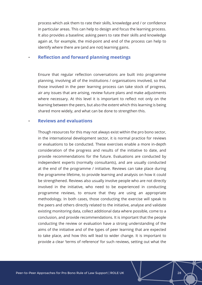process which ask them to rate their skills, knowledge and / or confidence in particular areas. This can help to design and focus the learning process. It also provides a baseline; asking peers to rate their skills and knowledge again at, for example, the mid-point and end of the process can help to identify where there are (and are not) learning gains.

#### • **Reflection and forward planning meetings**

Ensure that regular reflection conversations are built into programme planning, involving all of the institutions / organisations involved, so that those involved in the peer learning process can take stock of progress, air any issues that are arising, review future plans and make adjustments where necessary. At this level it is important to reflect not only on the learning between the peers, but also the extent which this learning is being shared more widely, and what can be done to strengthen this.

#### • **Reviews and evaluations**

Though resources for this may not always exist within the pro bono sector, in the international development sector, it is normal practice for reviews or evaluations to be conducted. These exercises enable a more in-depth consideration of the progress and results of the initiative to date, and provide recommendations for the future. Evaluations are conducted by independent experts (normally consultants), and are usually conducted at the end of the programme / initiative. Reviews can take place during the programme lifetime, to provide learning and analysis on how it could be strengthened. Reviews also usually involve people who are not directly involved in the initiative, who need to be experienced in conducting programme reviews, to ensure that they are using an appropriate methodology. In both cases, those conducting the exercise will speak to the peers and others directly related to the initiative, analyse and validate existing monitoring data, collect additional data where possible, come to a conclusion, and provide recommendations. It is important that the people conducting the review or evaluation have a strong understanding of the aims of the initiative and of the types of peer learning that are expected to take place, and how this will lead to wider change. It is important to provide a clear 'terms of reference' for such reviews, setting out what the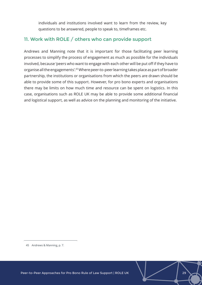individuals and institutions involved want to learn from the review, key questions to be answered, people to speak to, timeframes etc.

### 11. Work with ROLE / others who can provide support

Andrews and Manning note that it is important for those facilitating peer learning processes to simplify the process of engagement as much as possible for the individuals involved, because 'peers who want to engage with each other will be put off if they have to organise all the engagements'.45 Where peer-to-peer learning takes place as part of broader partnership, the institutions or organisations from which the peers are drawn should be able to provide some of this support. However, for pro bono experts and organisations there may be limits on how much time and resource can be spent on logistics. In this case, organisations such as ROLE UK may be able to provide some additional financial and logistical support, as well as advice on the planning and monitoring of the initiative.

<sup>45</sup> Andrews & Manning, p. 7.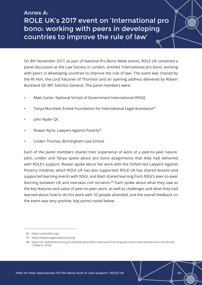## Annex A: ROLE UK's 2017 event on 'International pro bono: working with peers in developing countries to improve the rule of law'

On 8th November 2017, as part of National Pro Bono Week events, ROLE UK convened a panel discussion at the Law Society in London, entitled 'International pro bono: working with peers in developing countries to improve the rule of law'. The event was chaired by the Rt Hon. the Lord Falconer of Thoroton and an opening address delivered by Robert Buckland QC MP, Solicitor General. The panel members were:

- Matt Carter, National School of Government International (NSGI)
- Tanya Murshed, Evolve Foundation for International Legal Assistance<sup>46</sup>
- John Ryder QC
- Rowan Ryrie, Lawyers Against Poverty<sup>47</sup>
- Linden Thomas, Birmingham Law School

Each of the panel members shared their experience of work of a peer-to-peer nature. John, Linden and Tanya spoke about pro bono assignments that they had delivered with ROLE's support. Rowan spoke about her work with the Oxfam-led Lawyers Against Poverty initiative, which ROLE UK has also supported. ROLE UK has shared lessons and supported learning events with NSGI, and Matt shared learning from NSGI's peer-to-peer learning between UK and overseas civil servants.<sup>48</sup> Each spoke about what they saw as the key features and value of peer-to-peer work, as well as challenges and what they had learned about how to do this work well. 52 people attended, and the overall feedback on the event was very positive. Key points noted below.

<sup>46</sup> <https://evolvefila.org/>.

<sup>47</sup> <https://lawyersagainstpoverty.org/>.

<sup>48</sup> <http://sclr.stabilisationunit.gov.uk/publications/the-national-school-of-government-international-series>(Accessed 13 March 2018).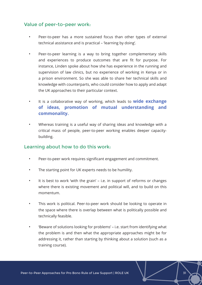#### Value of peer-to-peer work:

- Peer-to-peer has a more sustained focus than other types of external technical assistance and is practical – 'learning by doing'.
- Peer-to-peer learning is a way to bring together complementary skills and experiences to produce outcomes that are fit for purpose. For instance, Linden spoke about how she has experience in the running and supervision of law clinics, but no experience of working in Kenya or in a prison environment. So she was able to share her technical skills and knowledge with counterparts, who could consider how to apply and adapt the UK approaches to their particular context.
- It is a collaborative way of working, which leads to **wide exchange of ideas, promotion of mutual understanding and commonality.**
- Whereas training is a useful way of sharing ideas and knowledge with a critical mass of people, peer-to-peer working enables deeper capacitybuilding.

#### Learning about how to do this work:

- Peer-to-peer work requires significant engagement and commitment.
- The starting point for UK experts needs to be humility.
- It is best to work 'with the grain' i.e. in support of reforms or changes where there is existing movement and political will, and to build on this momentum.
- This work is political. Peer-to-peer work should be looking to operate in the space where there is overlap between what is politically possible and technically feasible.
- 'Beware of solutions looking for problems' i.e. start from identifying what the problem is and then what the appropriate approaches might be for addressing it, rather than starting by thinking about a solution (such as a training course).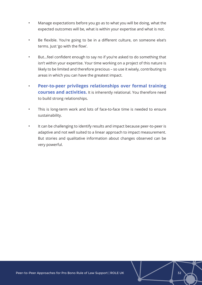- Manage expectations before you go as to what you will be doing, what the expected outcomes will be, what is within your expertise and what is not.
- Be flexible. You're going to be in a different culture, on someone else's terms. Just 'go with the flow'.
- But...feel confident enough to say no if you're asked to do something that isn't within your expertise. Your time working on a project of this nature is likely to be limited and therefore precious – so use it wisely, contributing to areas in which you can have the greatest impact.
- **Peer-to-peer privileges relationships over formal training courses and activities.** It is inherently relational. You therefore need to build strong relationships.
- This is long-term work and lots of face-to-face time is needed to ensure sustainability.
- It can be challenging to identify results and impact because peer-to-peer is adaptive and not well suited to a linear approach to impact measurement. But stories and qualitative information about changes observed can be very powerful.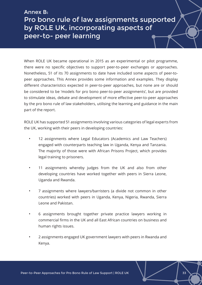## Annex B: Pro bono rule of law assignments supported by ROLE UK, incorporating aspects of peer-to- peer learning

When ROLE UK became operational in 2015 as an experimental or pilot programme, there were no specific objectives to support peer-to-peer exchanges or approaches. Nonetheless, 51 of its 70 assignments to date have included some aspects of peer-topeer approaches. This Annex provides some information and examples. They display different characteristics expected in peer-to-peer approaches, but none are or should be considered to be 'models for pro bono peer-to-peer assignments', but are provided to stimulate ideas, debate and development of more effective peer-to-peer approaches by the pro bono rule of law stakeholders, utilising the learning and guidance in the main part of the report.

ROLE UK has supported 51 assignments involving various categories of legal experts from the UK, working with their peers in developing countries:

- 12 assignments where Legal Educators (Academics and Law Teachers) engaged with counterparts teaching law in Uganda, Kenya and Tanzania. The majority of those were with African Prisons Project, which provides legal training to prisoners.
- 11 assignments whereby judges from the UK and also from other developing countries have worked together with peers in Sierra Leone, Uganda and Rwanda.
- 7 assignments where lawyers/barristers (a divide not common in other countries) worked with peers in Uganda, Kenya, Nigeria, Rwanda, Sierra Leone and Pakistan.
- 6 assignments brought together private practice lawyers working in commercial firms in the UK and all East African countries on business and human rights issues.
- 2 assignments engaged UK government lawyers with peers in Rwanda and Kenya.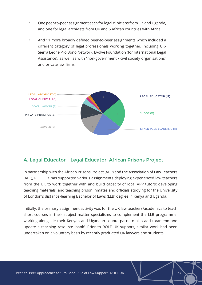- One peer-to-peer assignment each for legal clinicians from UK and Uganda, and one for legal archivists from UK and 6 African countries with AfricaLII.
- And 11 more broadly defined peer-to-peer assignments which included a different category of legal professionals working together, including UK-Sierra Leone Pro Bono Network, Evolve Foundation (for International Legal Assistance), as well as with "non-government / civil society organisations" and private law firms.



### A. Legal Educator - Legal Educator: African Prisons Project

In partnership with the African Prisons Project (APP) and the Association of Law Teachers (ALT), ROLE UK has supported various assignments deploying experienced law teachers from the UK to work together with and build capacity of local APP tutors: developing teaching materials, and teaching prison inmates and officials studying for the University of London's distance-learning Bachelor of Laws (LLB) degree in Kenya and Uganda.

Initially, the primary assignment activity was for the UK law teachers/academics to teach short courses in their subject matter specialisms to complement the LLB programme, working alongside their Kenyan and Ugandan counterparts to also add to/amend and update a teaching resource 'bank'. Prior to ROLE UK support, similar work had been undertaken on a voluntary basis by recently graduated UK lawyers and students.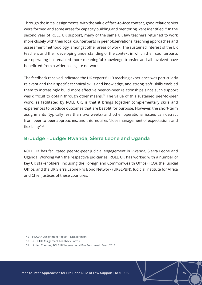Through the initial assignments, with the value of face-to-face contact, good relationships were formed and some areas for capacity building and mentoring were identified.49 In the second year of ROLE UK support, many of the same UK law teachers returned to work more closely with their local counterparts in peer observations, teaching approaches and assessment methodology, amongst other areas of work. The sustained interest of the UK teachers and their developing understanding of the context in which their counterparts are operating has enabled more meaningful knowledge transfer and all involved have benefitted from a wider collegiate network.

The feedback received indicated the UK experts' LLB teaching experience was particularly relevant and their specific technical skills and knowledge, and strong 'soft' skills enabled them to increasingly build more effective peer-to-peer relationships since such support was difficult to obtain through other means.<sup>50</sup> The value of this sustained peer-to-peer work, as facilitated by ROLE UK, is that it brings together complementary skills and experiences to produce outcomes that are best-fit for purpose. However, the short-term assignments (typically less than two weeks) and other operational issues can detract from peer-to-peer approaches, and this requires 'close management of expectations and flexibility'.51

### B: Judge – Judge: Rwanda, Sierra Leone and Uganda

ROLE UK has facilitated peer-to-peer judicial engagement in Rwanda, Sierra Leone and Uganda. Working with the respective judiciaries, ROLE UK has worked with a number of key UK stakeholders, including the Foreign and Commonwealth Office (FCO), the Judicial Office, and the UK Sierra Leone Pro Bono Network (UKSLPBN), Judicial Institute for Africa and Chief Justices of these countries.

<sup>49</sup> 14UGAN Assignment Report – Nick Johnson.

<sup>50</sup> ROLE UK Assignment Feedback Forms.

<sup>51</sup> Linden Thomas, ROLE UK International Pro Bono Week Event 2017.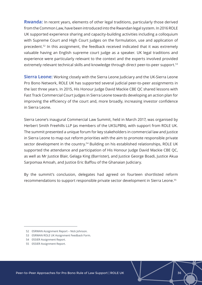**Rwanda:** In recent years, elements of other legal traditions, particularly those derived from the Common Law, have been introduced into the Rwandan legal system. In 2016 ROLE UK supported experience sharing and capacity-building activities including a colloquium with Supreme Court and High Court judges on the formulation, use and application of precedent.<sup>52</sup> In this assignment, the feedback received indicated that it was extremely valuable having an English supreme court judge as a speaker. UK legal traditions and experience were particularly relevant to the context and the experts involved provided extremely relevant technical skills and knowledge through direct peer-to-peer support.<sup>53</sup>

**Sierra Leone:** Working closely with the Sierra Leone Judiciary and the UK-Sierra Leone Pro Bono Network, ROLE UK has supported several judicial peer-to-peer assignments in the last three years. In 2015, His Honour Judge David Mackie CBE QC shared lessons with Fast Track Commercial Court judges in Sierra Leone towards developing an action plan for improving the efficiency of the court and, more broadly, increasing investor confidence in Sierra Leone.

Sierra Leone's inaugural Commercial Law Summit, held in March 2017, was organised by Herbert Smith Freehills LLP (as members of the UKSLPBN), with support from ROLE UK. The summit presented a unique forum for key stakeholders in commercial law and justice in Sierra Leone to map out reform priorities with the aim to promote responsible private sector development in the country.<sup>54</sup> Building on his established relationships, ROLE UK supported the attendance and participation of His Honour Judge David Mackie CBE QC, as well as Mr Justice Blair, Gelaga King (Barrister), and Justice George Boadi, Justice Akua Sarpomaa Amoah, and Justice Eric Baffou of the Ghanaian Judiciary.

By the summit's conclusion, delegates had agreed on fourteen shortlisted reform recommendations to support responsible private sector development in Sierra Leone.55

<sup>52</sup> 05RWAN Assignment Report – Nick Johnson.

<sup>53</sup> 05RWAN ROLE UK Assignment Feedback Form.

<sup>54</sup> 05SIER Assignment Report.

<sup>55</sup> 05SIER Assignment Report.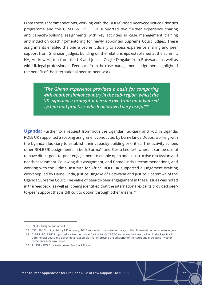From these recommendations, working with the DFID-funded Recovery Justice Priorities programme and the UKSLPBN, ROLE UK supported two further experience sharing and capacity-building assignments with key activities in case management training and induction coaching/mentoring for newly appointed Supreme Court Judges. These assignments enabled the Sierra Leone Judiciary to access experience sharing and peer support from Ghanaian judges, building on the relationships established at the summit, HHJ Andrew Hatton from the UK and Justice Oagile Dingake from Botswana, as well as with UK legal professionals. Feedback from the case management assignment highlighted the benefit of the international peer-to-peer work:

> *"The Ghana experience provided a basis for comparing with another similar country in the sub-region, whilst the UK experience brought a perspective from an advanced system and practice, which all proved very useful"<sup>56</sup>*

**Uganda:** Further to a request from both the Ugandan Judiciary and FCO in Uganda, ROLE UK supported a scoping assignment conducted by Dame Linda Dobbs, working with the Ugandan Judiciary to establish their capacity building priorities. This activity echoes other ROLE UK assignments in both Burma<sup>57</sup> and Sierra Leone<sup>58</sup>, where it can be useful to have direct peer-to-peer engagement to enable open and constructive discussion and needs assessment. Following this assignment, and Dame Linda's recommendations, and working with the Judicial Institute for Africa, ROLE UK supported a judgement drafting workshop led by Dame Linda, Justice Dingake of Botswana and Justice Tibatemwa of the Uganda Supreme Court. The value of peer-to-peer engagement in these issues was noted in the feedback, as well as it being identified that the international experts provided peerto-peer support that is difficult to obtain through other means.<sup>59</sup>

<sup>56</sup> 09SIER Assignment Report, p 9.

<sup>57</sup> 03BURM: Scoping visit by UK judiciary, ROLE supported the judge in charge of the UK association of women judges.

<sup>58</sup> 01SIER: ROLE UK Supported His Honour Judge David Mackie CBE QC to review the case backlog in the Fast Track Commercial Court and devel- op an action plan for improving the efficiency of the court and increasing investor confidence in Sierra Leone.

<sup>59</sup> 11UGAN ROLE UK Assignment Feedback Form.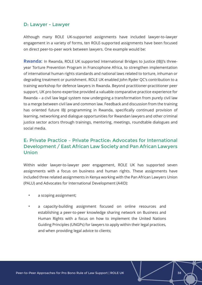#### D: Lawyer - Lawyer

Although many ROLE UK-supported assignments have included lawyer-to-lawyer engagement in a variety of forms, ten ROLE-supported assignments have been focused on direct peer-to-peer work between lawyers. One example would be:

**Rwanda:** In Rwanda, ROLE UK supported International Bridges to Justice (IBJ)'s threeyear Torture Prevention Program in Francophone Africa, to strengthen implementation of international human rights standards and national laws related to torture, inhuman or degrading treatment or punishment. ROLE UK enabled John Ryder QC's contribution to a training workshop for defence lawyers in Rwanda. Beyond practitioner-practitioner peer support, UK pro bono expertise provided a valuable comparative practice experience for Rwanda – a civil law legal system now undergoing a transformation from purely civil law to a merge between civil law and common law. Feedback and discussion from the training has oriented future IBJ programming in Rwanda, specifically continued provision of learning, networking and dialogue opportunities for Rwandan lawyers and other criminal justice sector actors through trainings, mentoring, meetings, roundtable dialogues and social media.

## E: Private Practice – Private Practice: Advocates for International Development / East African Law Society and Pan African Lawyers Union

Within wider lawyer-to-lawyer peer engagement, ROLE UK has supported seven assignments with a focus on business and human rights. These assignments have included three related assignments in Kenya working with the Pan African Lawyers Union (PALU) and Advocates for International Development (A4ID):

- a scoping assignment;
- a capacity-building assignment focused on online resources and establishing a peer-to-peer knowledge sharing network on Business and Human Rights with a focus on how to implement the United Nations Guiding Principles (UNGPs) for lawyers to apply within their legal practices, and when providing legal advice to clients;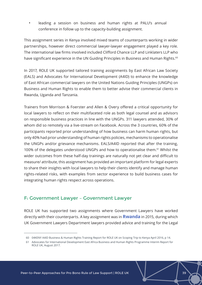leading a session on business and human rights at PALU's annual conference in follow up to the capacity-building assignment.

This assignment series in Kenya involved mixed teams of counterparts working in wider partnerships, however direct commercial lawyer-lawyer engagement played a key role. The international law firms involved included Clifford Chance LLP and Linklaters LLP who have significant experience in the UN Guiding Principles in Business and Human Rights.<sup>60</sup>

In 2017, ROLE UK supported tailored training assignments by East African Law Society (EALS) and Advocates for International Development (A4ID) to enhance the knowledge of East African commercial lawyers on the United Nations Guiding Principles (UNGPs) on Business and Human Rights to enable them to better advise their commercial clients in Rwanda, Uganda and Tanzania.

Trainers from Morrison & Foerster and Allen & Overy offered a critical opportunity for local lawyers to reflect on their multifaceted role as both legal counsel and as advisors on responsible business practices in line with the UNGPs. 311 lawyers attended, 30% of whom did so remotely via a live-stream on Facebook. Across the 3 countries, 60% of the participants reported prior understanding of how business can harm human rights, but only 40% had prior understanding of human rights policies, mechanisms to operationalise the UNGPs and/or grievance mechanisms. EALS/A4ID reported that after the training, 100% of the delegates understood UNGPs and how to operationalise them.<sup>61</sup> Whilst the wider outcomes from these half-day trainings are naturally not yet clear and difficult to measure/ attribute, this assignment has provided an important platform for legal experts to share their insights with local lawyers to help their clients identify and manage human rights-related risks, with examples from sector experience to build business cases for integrating human rights respect across operations.

#### F: Government Lawyer – Government Lawyer

ROLE UK has supported two assignments where Government Lawyers have worked directly with their counterparts. A key assignment was in **Rwanda** in 2015, during which UK Government Lawyers Department lawyers provided advice and training for the Legal

<sup>60</sup> 04KENY A4ID Business & Human Rights Training Report for ROLE UK on Scoping Trip to Kenya April 2016, p 14.

<sup>61</sup> Advocates for International Development East Africa Business and Human Rights Programme Interim Report for ROLE UK, August 2017.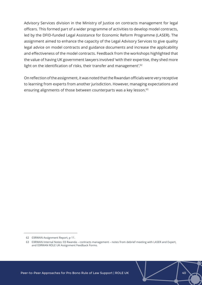Advisory Services division in the Ministry of Justice on contracts management for legal officers. This formed part of a wider programme of activities to develop model contracts, led by the DFID-funded Legal Assistance for Economic Reform Programme (LASER). The assignment aimed to enhance the capacity of the Legal Advisory Services to give quality legal advice on model contracts and guidance documents and increase the applicability and effectiveness of the model contracts. Feedback from the workshops highlighted that the value of having UK government lawyers involved 'with their expertise, they shed more light on the identification of risks, their transfer and management'.<sup>62</sup>

On reflection of the assignment, it was noted that the Rwandan officials were very receptive to learning from experts from another jurisdiction. However, managing expectations and ensuring alignments of those between counterparts was a key lesson.<sup>63</sup>

<sup>62</sup> 03RWAN Assignment Report, p 11.

<sup>63</sup> 03RWAN Internal Notes: 03 Rwanda – contracts management – notes from debrief meeting with LASER and Expert, and 03RWAN ROLE UK Assignment Feedback Forms.